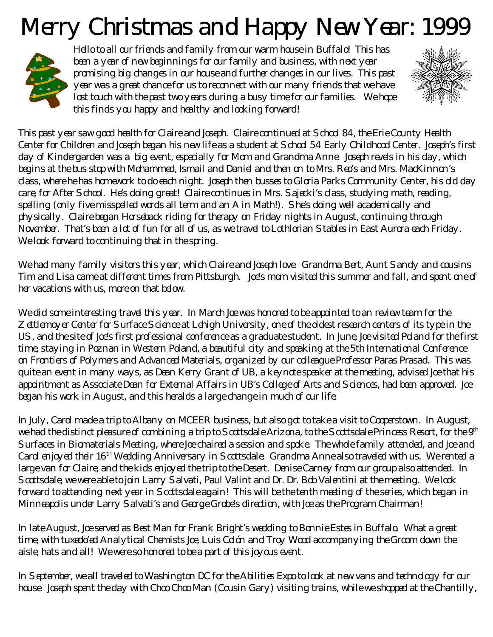## Merry Christmas and Happy New Year: 1999



Hello to all our friends and family from our warm house in Buffalo! This has been a year of new beginnings for our family and business, with next year promising big changes in our house and further changes in our lives. This past year was a great chance for us to reconnect with our many friends that we have lost touch with the past two years during a busy time for our families. We hope this finds you happy and healthy and looking forward!



This past year saw good health for Claire and Joseph. Claire continued at School 84, the Erie County Health Center for Children and Joseph began his new life as a student at School 54 Early Childhood Center. Joseph's first day of Kindergarden was a big event, especially for Mom and Grandma Anne. Joseph revels in his day, which begins at the bus stop with Mohammed, Ismail and Daniel and then on to Mrs. Reo's and Mrs. MacKinnon's class, where he has homework to do each night. Joseph then busses to Gloria Parks Community Center, his old day care, for After School. He's doing great! Claire continues in Mrs. Sajecki's class, studying math, reading, spelling (only five misspelled words all term and an A in Math!). She's doing well academically and physically. Claire began Horseback riding for therapy on Friday nights in August, continuing through November. That's been a lot of fun for all of us, as we travel to Lothlorian Stables in East Aurora each Friday. We look forward to continuing that in the spring.

We had many family visitors this year, which Claire and Joseph love. Grandma Bert, Aunt Sandy and cousins Tim and Lisa came at different times from Pittsburgh. Joe's mom visited this summer and fall, and spent one of her vacations with us, more on that below.

We did some interesting travel this year. In March Joe was honored to be appointed to an review team for the Zettlemoyer Center for Surface Science at Lehigh University, one of the oldest research centers of its type in the US, and the site of Joe's first professional conference as a graduate student. In June, Joe visited Poland for the first time, staying in Poznan in Western Poland, a beautiful city and speaking at the 5th International Conference on Frontiers of Polymers and Advanced Materials, organized by our colleague Professor Paras Prasad. This was quite an event in many ways, as Dean Kerry Grant of UB, a keynote speaker at the meeting, advised Joe that his appointment as Associate Dean for External Affairs in UB's College of Arts and Sciences, had been approved. Joe began his work in August, and this heralds a large change in much of our life.

In July, Carol made a trip to Albany on MCEER business, but also got to take a visit to Cooperstown. In August, we had the distinct pleasure of combining a trip to Scottsdale Arizona, to the Scottsdale Princess Resort, for the 9<sup>th</sup> Surfaces in Biomaterials Meeting, where Joe chaired a session and spoke. The whole family attended, and Joe and Carol enjoyed their 16<sup>th</sup> Wedding Anniversary in Scottsdale. Grandma Anne also traveled with us. We rented a large van for Claire, and the kids enjoyed the trip to the Desert. Denise Carney from our group also attended. In Scottsdale, we were able to join Larry Salvati, Paul Valint and Dr. Dr. Bob Valentini at the meeting. We look forward to attending next year in Scottsdale again! This will be the tenth meeting of the series, which began in Minneapolis under Larry Salvati's and George Grobe's direction, with Joe as the Program Chairman!

In late August, Joe served as Best Man for Frank Bright's wedding to Bonnie Estes in Buffalo. What a great time, with tuxedo'ed Analytical Chemists Joe, Luis Colón and Troy Wood accompanying the Groom down the aisle, hats and all! We were so honored to be a part of this joyous event.

In September, we all traveled to Washington DC for the Abilities Expo to look at new vans and technology for our house. Joseph spent the day with Choo Choo Man (Cousin Gary) visiting trains, while we shopped at the Chantilly,